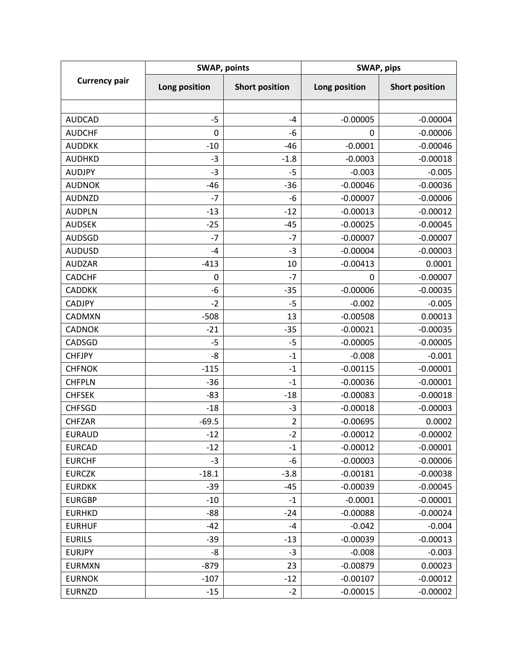| <b>Currency pair</b> | <b>SWAP, points</b> |                         | SWAP, pips    |                       |
|----------------------|---------------------|-------------------------|---------------|-----------------------|
|                      | Long position       | <b>Short position</b>   | Long position | <b>Short position</b> |
|                      |                     |                         |               |                       |
| <b>AUDCAD</b>        | $-5$                | $-4$                    | $-0.00005$    | $-0.00004$            |
| <b>AUDCHF</b>        | $\mathbf 0$         | -6                      | 0             | $-0.00006$            |
| <b>AUDDKK</b>        | $-10$               | $-46$                   | $-0.0001$     | $-0.00046$            |
| <b>AUDHKD</b>        | $-3$                | $-1.8$                  | $-0.0003$     | $-0.00018$            |
| <b>AUDJPY</b>        | $-3$                | $-5$                    | $-0.003$      | $-0.005$              |
| <b>AUDNOK</b>        | $-46$               | $-36$                   | $-0.00046$    | $-0.00036$            |
| <b>AUDNZD</b>        | $-7$                | $-6$                    | $-0.00007$    | $-0.00006$            |
| <b>AUDPLN</b>        | $-13$               | $-12$                   | $-0.00013$    | $-0.00012$            |
| <b>AUDSEK</b>        | $-25$               | $-45$                   | $-0.00025$    | $-0.00045$            |
| <b>AUDSGD</b>        | $-7$                | $-7$                    | $-0.00007$    | $-0.00007$            |
| <b>AUDUSD</b>        | $-4$                | $-3$                    | $-0.00004$    | $-0.00003$            |
| <b>AUDZAR</b>        | $-413$              | 10                      | $-0.00413$    | 0.0001                |
| <b>CADCHF</b>        | $\mathbf 0$         | $-7$                    | 0             | $-0.00007$            |
| <b>CADDKK</b>        | -6                  | $-35$                   | $-0.00006$    | $-0.00035$            |
| <b>CADJPY</b>        | $-2$                | $-5$                    | $-0.002$      | $-0.005$              |
| CADMXN               | $-508$              | 13                      | $-0.00508$    | 0.00013               |
| <b>CADNOK</b>        | $-21$               | $-35$                   | $-0.00021$    | $-0.00035$            |
| CADSGD               | $-5$                | $-5$                    | $-0.00005$    | $-0.00005$            |
| <b>CHFJPY</b>        | -8                  | $-1$                    | $-0.008$      | $-0.001$              |
| <b>CHFNOK</b>        | $-115$              | $-1$                    | $-0.00115$    | $-0.00001$            |
| <b>CHFPLN</b>        | $-36$               | $-1$                    | $-0.00036$    | $-0.00001$            |
| <b>CHFSEK</b>        | $-83$               | $-18$                   | $-0.00083$    | $-0.00018$            |
| <b>CHFSGD</b>        | $-18$               | $-3$                    | $-0.00018$    | $-0.00003$            |
| <b>CHFZAR</b>        | $-69.5$             | $\overline{\mathbf{c}}$ | $-0.00695$    | 0.0002                |
| <b>EURAUD</b>        | $-12$               | $-2$                    | $-0.00012$    | $-0.00002$            |
| <b>EURCAD</b>        | $-12$               | $-1$                    | $-0.00012$    | $-0.00001$            |
| <b>EURCHF</b>        | $-3$                | -6                      | $-0.00003$    | $-0.00006$            |
| <b>EURCZK</b>        | $-18.1$             | $-3.8$                  | $-0.00181$    | $-0.00038$            |
| <b>EURDKK</b>        | $-39$               | $-45$                   | $-0.00039$    | $-0.00045$            |
| <b>EURGBP</b>        | $-10$               | $-1$                    | $-0.0001$     | $-0.00001$            |
| <b>EURHKD</b>        | $-88$               | $-24$                   | $-0.00088$    | $-0.00024$            |
| <b>EURHUF</b>        | $-42$               | $-4$                    | $-0.042$      | $-0.004$              |
| <b>EURILS</b>        | $-39$               | $-13$                   | $-0.00039$    | $-0.00013$            |
| <b>EURJPY</b>        | -8                  | $-3$                    | $-0.008$      | $-0.003$              |
| <b>EURMXN</b>        | $-879$              | 23                      | $-0.00879$    | 0.00023               |
| <b>EURNOK</b>        | $-107$              | $-12$                   | $-0.00107$    | $-0.00012$            |
| <b>EURNZD</b>        | $-15$               | $-2$                    | $-0.00015$    | $-0.00002$            |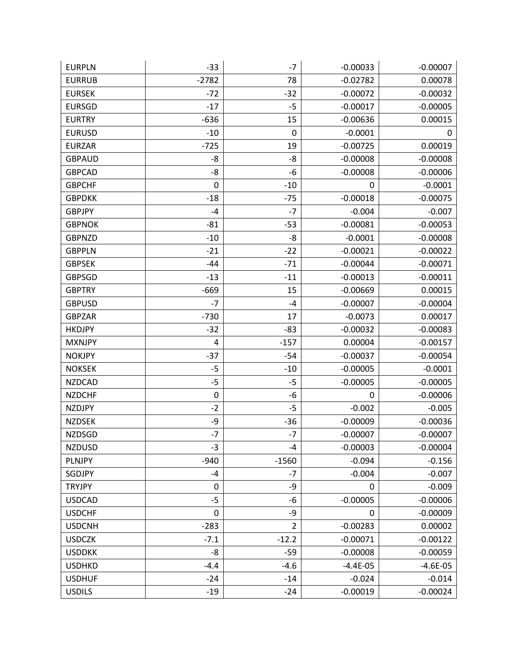| <b>EURPLN</b> | $-33$     | $-7$           | $-0.00033$ | $-0.00007$ |
|---------------|-----------|----------------|------------|------------|
| <b>EURRUB</b> | $-2782$   | 78             | $-0.02782$ | 0.00078    |
| <b>EURSEK</b> | $-72$     | $-32$          | $-0.00072$ | $-0.00032$ |
| <b>EURSGD</b> | $-17$     | $-5$           | $-0.00017$ | $-0.00005$ |
| <b>EURTRY</b> | $-636$    | 15             | $-0.00636$ | 0.00015    |
| <b>EURUSD</b> | $-10$     | 0              | $-0.0001$  | 0          |
| <b>EURZAR</b> | $-725$    | 19             | $-0.00725$ | 0.00019    |
| <b>GBPAUD</b> | -8        | -8             | $-0.00008$ | $-0.00008$ |
| <b>GBPCAD</b> | -8        | -6             | $-0.00008$ | $-0.00006$ |
| <b>GBPCHF</b> | 0         | $-10$          | 0          | $-0.0001$  |
| <b>GBPDKK</b> | $-18$     | $-75$          | $-0.00018$ | $-0.00075$ |
| <b>GBPJPY</b> | $-4$      | $-7$           | $-0.004$   | $-0.007$   |
| <b>GBPNOK</b> | $-81$     | $-53$          | $-0.00081$ | $-0.00053$ |
| <b>GBPNZD</b> | $-10$     | -8             | $-0.0001$  | $-0.00008$ |
| <b>GBPPLN</b> | $-21$     | $-22$          | $-0.00021$ | $-0.00022$ |
| <b>GBPSEK</b> | $-44$     | $-71$          | $-0.00044$ | $-0.00071$ |
| <b>GBPSGD</b> | $-13$     | $-11$          | $-0.00013$ | $-0.00011$ |
| <b>GBPTRY</b> | $-669$    | 15             | $-0.00669$ | 0.00015    |
| <b>GBPUSD</b> | $-7$      | $-4$           | $-0.00007$ | $-0.00004$ |
| <b>GBPZAR</b> | $-730$    | 17             | $-0.0073$  | 0.00017    |
| <b>HKDJPY</b> | $-32$     | $-83$          | $-0.00032$ | $-0.00083$ |
| <b>MXNJPY</b> | 4         | $-157$         | 0.00004    | $-0.00157$ |
| <b>NOKJPY</b> | $-37$     | $-54$          | $-0.00037$ | $-0.00054$ |
| <b>NOKSEK</b> | $-5$      | $-10$          | $-0.00005$ | $-0.0001$  |
| <b>NZDCAD</b> | $-5$      | $-5$           | $-0.00005$ | $-0.00005$ |
| <b>NZDCHF</b> | $\pmb{0}$ | -6             | 0          | $-0.00006$ |
| <b>NZDJPY</b> | $-2$      | $-5$           | $-0.002$   | $-0.005$   |
| <b>NZDSEK</b> | -9        | $-36$          | $-0.00009$ | $-0.00036$ |
| <b>NZDSGD</b> | $-7$      | $-7$           | $-0.00007$ | $-0.00007$ |
| <b>NZDUSD</b> | $-3$      | -4             | $-0.00003$ | $-0.00004$ |
| PLNJPY        | $-940$    | $-1560$        | $-0.094$   | $-0.156$   |
| SGDJPY        | $-4$      | $-7$           | $-0.004$   | $-0.007$   |
| <b>TRYJPY</b> | $\pmb{0}$ | -9             | 0          | $-0.009$   |
| <b>USDCAD</b> | $-5$      | -6             | $-0.00005$ | $-0.00006$ |
| <b>USDCHF</b> | $\pmb{0}$ | -9             | 0          | $-0.00009$ |
| <b>USDCNH</b> | $-283$    | $\overline{2}$ | $-0.00283$ | 0.00002    |
| <b>USDCZK</b> | $-7.1$    | $-12.2$        | $-0.00071$ | $-0.00122$ |
| <b>USDDKK</b> | -8        | $-59$          | $-0.00008$ | $-0.00059$ |
| <b>USDHKD</b> | $-4.4$    | $-4.6$         | $-4.4E-05$ | $-4.6E-05$ |
| <b>USDHUF</b> | $-24$     | $-14$          | $-0.024$   | $-0.014$   |
| <b>USDILS</b> | $-19$     | $-24$          | $-0.00019$ | $-0.00024$ |